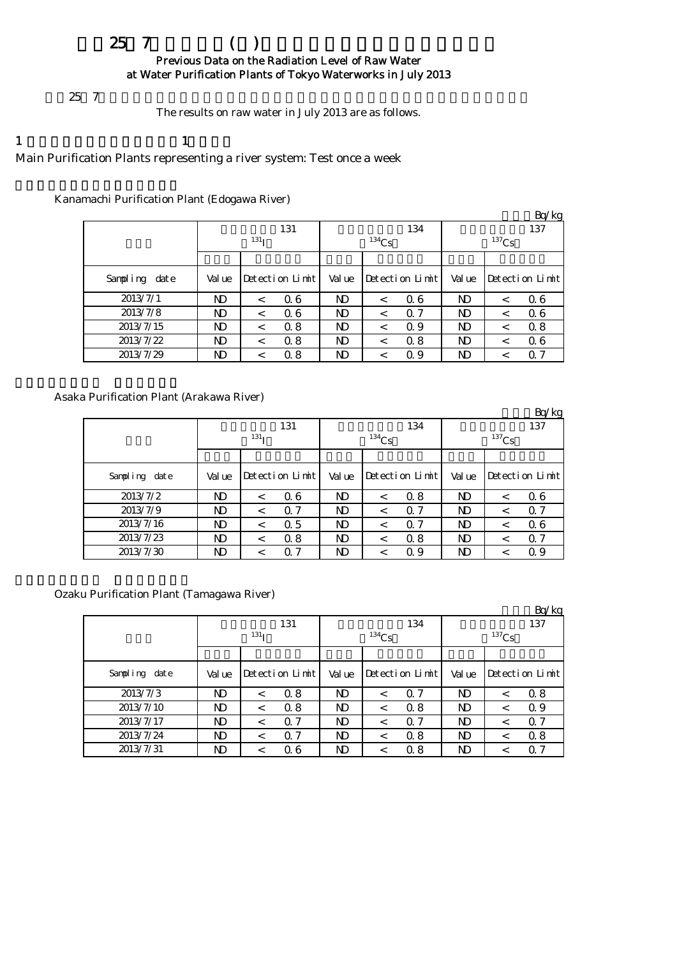# $25 \t7$  ( )

## Previous Data on the Radiation Level of Raw Water at Water Purification Plants of Tokyo Waterworks in July 2013

 $257$ 

The results on raw water in July 2013 are as follows.

## 1  $\qquad \qquad 1$

Main Purification Plants representing a river system: Test once a week

## Kanamachi Purification Plant (Edogawa River)

|                  |        |                  |                 |        |          |                 |                |         | Bq/kg           |  |  |
|------------------|--------|------------------|-----------------|--------|----------|-----------------|----------------|---------|-----------------|--|--|
|                  |        |                  | 131             |        |          | 134             | 137            |         |                 |  |  |
|                  |        | 131 <sub>T</sub> |                 |        | $134$ Cs |                 | $137$ Cs       |         |                 |  |  |
|                  |        |                  |                 |        |          |                 |                |         |                 |  |  |
| Sampling<br>date | Val ue |                  | Detection Limit | Val ue |          | Detection Limit | Val ue         |         | Detection Limit |  |  |
| 2013/7/1         | ND     | $\,<\,$          | 06              | ND     | $\,<\,$  | 06              | ND.            | <       | 06              |  |  |
| 2013/7/8         | ND     | <                | 06              | ND     | $\,<\,$  | 0.7             | N <sub>D</sub> | $\,<\,$ | 06              |  |  |
| 2013/7/15        | ND     | $\,<\,$          | 0.8             | ND     | $\,<\,$  | Q 9             | N <sub>D</sub> | $\,<\,$ | 0.8             |  |  |
| 2013/7/22        | ND     | <                | 0.8             | N)     | $\,<\,$  | 0.8             | N <sub>D</sub> | <       | 06              |  |  |
| 2013/7/29        | ND     | <                | 0.8             | ND     | $\,<\,$  | Q 9             | N <sub>D</sub> | $\,<\,$ | $\Omega$ 7      |  |  |

## Asaka Purification Plant (Arakawa River)

|               |        |                  |                 |        |          |                 |                 |         | Bq/kg           |  |
|---------------|--------|------------------|-----------------|--------|----------|-----------------|-----------------|---------|-----------------|--|
|               |        |                  | 131             |        |          | 134             | 137<br>$137$ Cs |         |                 |  |
|               |        | 131 <sub>T</sub> |                 |        | $134$ Cs |                 |                 |         |                 |  |
|               |        |                  |                 |        |          |                 |                 |         |                 |  |
| Sampling date | Val ue |                  | Detection Limit | Val ue |          | Detection Limit | Val ue          |         | Detection Limit |  |
| 2013/7/2      | ND     | $\,<\,$          | 06              | ND     | $\,<\,$  | 0.8             | N <sub>D</sub>  | $\,<\,$ | 06              |  |
| 2013/7/9      | ND     | $\,<\,$          | $\Omega$ 7      | ND     | $\,<\,$  | 0.7             | ND.             | $\,<\,$ | 0.7             |  |
| 2013/7/16     | ND.    | $\,<\,$          | 0.5             | ND     | $\,<\,$  | 0.7             | ND.             | $\,<\,$ | 06              |  |
| 2013/7/23     | ND     | $\,<\,$          | 0.8             | ND     | $\,<\,$  | 0.8             | N <sub>D</sub>  | $\,<\,$ | 0.7             |  |
| 2013/7/30     | ND     | $\,<\,$          | $\alpha$ 7      | ND     | <        | Q 9             | ND              |         | 0.9             |  |

Ozaku Purification Plant (Tamagawa River)

|               |        |                  |                 |        |            |                 |          |         | Bq/kg           |  |
|---------------|--------|------------------|-----------------|--------|------------|-----------------|----------|---------|-----------------|--|
|               |        |                  | 131             |        |            | 134             | 137      |         |                 |  |
|               |        | 131 <sub>T</sub> |                 |        | $^{134}Cs$ |                 | $137$ Cs |         |                 |  |
|               |        |                  |                 |        |            |                 |          |         |                 |  |
| Sampling date | Val ue |                  | Detection Limit | Val ue |            | Detection Limit | Val ue   |         | Detection Limit |  |
| 2013/7/3      | ND     | $\,<\,$          | 0.8             | ND     | $\,<\,$    | $\Omega$ 7      | ND.      | $\,<\,$ | 0.8             |  |
| 2013/7/10     | ND     | $\,<\,$          | 0.8             | N)     | $\,<\,$    | 0.8             | ND.      |         | 0.9             |  |
| 2013/7/17     | ND     | $\,<\,$          | 0.7             | ND     | $\,<\,$    | Q 7             | ND.      | $\,<\,$ | 0.7             |  |
| 2013/7/24     | ND     | $\,<\,$          | $\alpha$ 7      | ND     | $\,<\,$    | 0.8             | ND.      |         | 0.8             |  |
| 2013/7/31     | ND     | <                | 06              | ND     | <          | 0.8             | ND       |         | $\alpha$ 7      |  |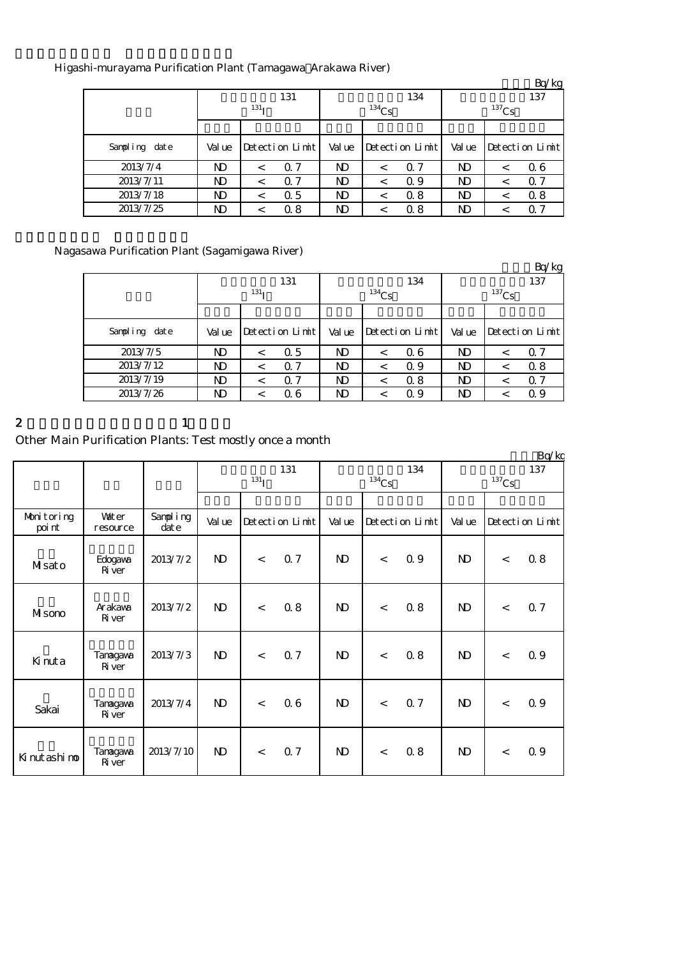#### Higashi-murayama Purification Plant (Tamagawa Arakawa River)

|               |                  |  |                 |        |          |                 |                |         | Bq/kg           |  |
|---------------|------------------|--|-----------------|--------|----------|-----------------|----------------|---------|-----------------|--|
|               |                  |  | 131             |        |          | 134             | 137            |         |                 |  |
|               | 131 <sub>T</sub> |  |                 |        | $134$ Cs |                 | $137$ Cs       |         |                 |  |
|               |                  |  |                 |        |          |                 |                |         |                 |  |
| Sampling date | Value            |  | Detection Limit | Val ue |          | Detection Limit | Val ue         |         | Detection Limit |  |
| 2013/7/4      | ND               |  | 0.7             | ND     | $\,<\,$  | Q 7             | N <sub>D</sub> | <       | 06              |  |
| 2013/7/11     | ND               |  | $\Omega$ 7      | ND     | <        | Q 9             | N <sub>D</sub> | <       | $\alpha$ 7      |  |
| 2013/7/18     | ND               |  | Q 5             | ND     | $\,<$    | 0.8             | ND.            | $\,<\,$ | 0.8             |  |
| 2013/7/25     | ND               |  | 0.8             | ND     |          | 0.8             | ND             |         | $\Omega$ 7      |  |

## Nagasawa Purification Plant (Sagamigawa River)

|               |                  |         |                 |              |         |                 |          |         | Bq/kg           |  |
|---------------|------------------|---------|-----------------|--------------|---------|-----------------|----------|---------|-----------------|--|
|               |                  |         | 131             |              |         | 134             | 137      |         |                 |  |
|               | 131 <sub>T</sub> |         |                 | $134$ Cs     |         |                 | $137$ Cs |         |                 |  |
|               |                  |         |                 |              |         |                 |          |         |                 |  |
| Sampling date | Val ue           |         | Detection Limit | Val ue       |         | Detection Limit | Val ue   |         | Detection Limit |  |
| 2013/7/5      | ND               | $\,<\,$ | 0.5             | ND           | $\,<\,$ | 06              | ND.      | <       | 0.7             |  |
| 2013/7/12     | ND               | $\,<\,$ | $\Omega$ 7      | ND           | $\,<\,$ | Q 9             | ND.      | $\,<\,$ | 0.8             |  |
| 2013/7/19     | ND.              | $\,<\,$ | $\alpha$ 7      | $\mathbf{D}$ | $\,<$   | 0.8             | ND.      | <       | 0.7             |  |
| 2013/7/26     | ND               |         | 06              | ND           | $\,<\,$ | Q 9             | ND.      | ╯       | 0.9             |  |

## 2 and  $\lambda$  1

## Other Main Purification Plants: Test mostly once a month

|                      |                           |                  |              |                          |                 |                            |       |                 |                 |       | Bq/kg           |
|----------------------|---------------------------|------------------|--------------|--------------------------|-----------------|----------------------------|-------|-----------------|-----------------|-------|-----------------|
|                      |                           |                  |              | 131<br>$^{131}$ I        |                 | 134<br>$\mathrm{^{134}Cs}$ |       |                 | 137<br>$137$ Cs |       |                 |
|                      |                           |                  |              |                          |                 |                            |       |                 |                 |       |                 |
| Monitoring<br>poi nt | Vait er<br>resource       | Sampling<br>date | Val ue       |                          | Detection Limit | Val ue                     |       | Detection Limit | Val ue          |       | Detection Limit |
| Misato               | Edogava<br><b>R</b> iver  | 2013/7/2         | $\mathbf{D}$ | $\overline{\phantom{a}}$ | 0.7             | $\mathbf{D}$               | $\lt$ | Q 9             | $\mathbf{D}$    | $\lt$ | 0.8             |
| MIsono               | Arakawa<br><b>R</b> iver  | 2013/7/2         | $\mathbf{D}$ | $\lt$                    | 0.8             | $\mathbf{D}$               | $\,<$ | 0.8             | $\mathbf{D}$    | $\,<$ | 0.7             |
| Kinuta               | Tanagawa<br><b>R</b> iver | 2013/7/3         | $\mathbf{D}$ | $\overline{\phantom{a}}$ | 0.7             | $\mathbf{D}$               | $\lt$ | 0.8             | $\mathbf{D}$    | $\lt$ | 0.9             |
| Sakai                | Tanagava<br><b>R</b> iver | 2013/7/4         | $\mathbf{D}$ | $\,<$                    | 06              | $\mathbf{D}$               | $\lt$ | 0.7             | $\mathbf{D}$    | $\,<$ | 0.9             |
| Ki nut ashi no       | Tanagawa<br><b>R</b> iver | 2013/7/10        | $\mathbf{N}$ | $\overline{\phantom{a}}$ | Q 7             | $\mathbf{D}$               | $\lt$ | 0.8             | $\mathbf{D}$    | $\lt$ | 0.9             |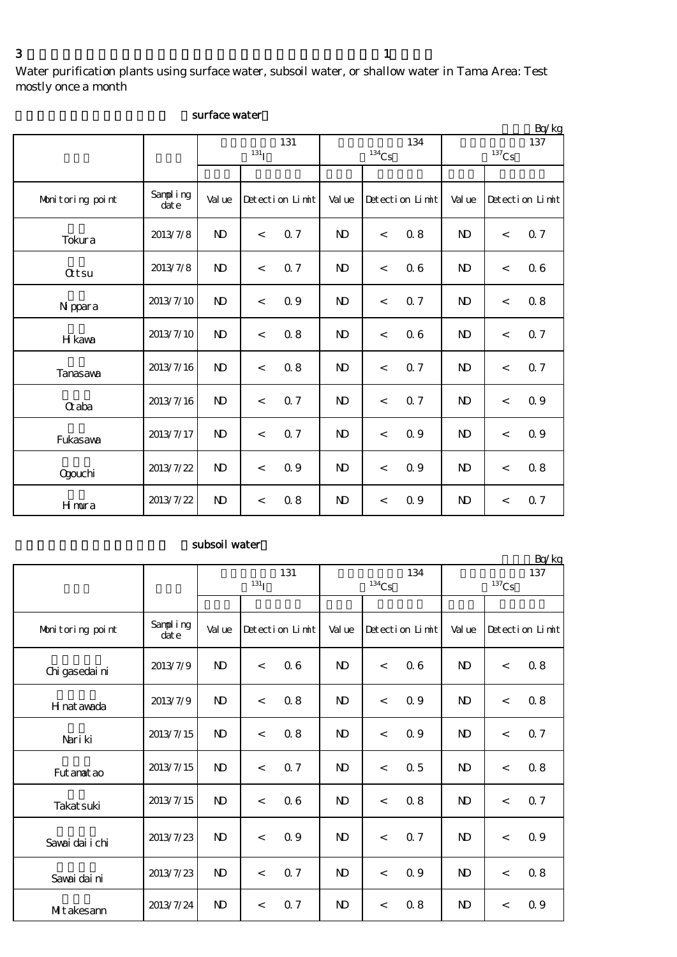Water purification plants using surface water, subsoil water, or shallow water in Tama Area: Test mostly once a month

|                  |                  |                |                    |                 |                |                     |                 |                            |         | Bq/kg           |
|------------------|------------------|----------------|--------------------|-----------------|----------------|---------------------|-----------------|----------------------------|---------|-----------------|
|                  |                  |                | $131$ <sub>I</sub> | 131             |                | $\mathrm{^{134}Cs}$ | 134             | 137<br>$^{137}\mathrm{Cs}$ |         |                 |
|                  |                  |                |                    |                 |                |                     |                 |                            |         |                 |
| Monitoring point | Sampling<br>date | Val ue         |                    | Detection Limit | Value          |                     | Detection Limit | Val ue                     |         | Detection Limit |
| Tokura           | 2013/7/8         | N <sub>D</sub> | $\,<$              | 0.7             | N <sub>D</sub> | $\,<$               | 0.8             | $\mathbf{N}$               | $\lt$   | 0.7             |
| <b>Qtsu</b>      | 2013/7/8         | N <sub>D</sub> | $\,<$              | 0.7             | $\mathbf{N}$   | $\,<\,$             | 0.6             | $\mathbf{N}$               | $\,<$   | 06              |
| N ppara          | 2013/7/10        | N <sub>D</sub> | $\,<$              | 0.9             | $\mathbf{N}$   | $\,<$               | 0.7             | $\mathbf{D}$               | $\,<\,$ | 0.8             |
| H kawa           | 2013/7/10        | N <sub>D</sub> | $\,<$              | 0.8             | $\mathbf{N}$   | $\,<$               | 06              | N <sub>D</sub>             | $\,<$   | 0.7             |
| <b>Tanasawa</b>  | 2013/7/16        | N <sub>D</sub> | $\,<$              | 0.8             | $\mathbf{N}$   | $\lt$               | 0.7             | $\mathbf{N}$               | $\lt$   | 0.7             |
| Craba            | 2013/7/16        | N <sub>D</sub> | $\,<$              | 0.7             | N <sub>D</sub> | $\,<$               | 0.7             | N <sub>D</sub>             | $\lt$   | 0.9             |
| Fukasawa         | 2013/7/17        | $\mathbf{D}$   | $\,<$              | Q 7             | $\mathbf{D}$   | $\,<$               | 0.9             | $\mathbf{D}$               | $\,<$   | $0.9\,$         |
| Qgouchi          | 2013/7/22        | N <sub>D</sub> | $\lt$              | 0.9             | N <sub>D</sub> | $\,<\,$             | 0.9             | $\mathbf{D}$               | $\prec$ | 0.8             |
| Hmura            | 2013/7/22        | N <sub>D</sub> | $\lt$              | 0.8             | N <sub>D</sub> | $\lt$               | 0.9             | $\mathbf{N}$               | $\lt$   | 0.7             |

#### surface water

## subsoil water

|                  |                  |                |            |                 |                |                          |                 |                |         | Bq/kg           |
|------------------|------------------|----------------|------------|-----------------|----------------|--------------------------|-----------------|----------------|---------|-----------------|
|                  |                  |                |            | 131             |                |                          | 134             | 137            |         |                 |
|                  |                  |                | $^{131}$ I |                 |                | 134Cs                    |                 | $137$ Cs       |         |                 |
|                  |                  |                |            |                 |                |                          |                 |                |         |                 |
| Monitoring point | Sampling<br>date | Val ue         |            | Detection Limit | Value          |                          | Detection Limit | Val ue         |         | Detection Limit |
| Chi gasedai ni   | 2013/7/9         | $\mathbf{N}$   | $\lt$      | 06              | N <sub>D</sub> | $\,<\,$                  | 06              | $\mathbf{D}$   | $\lt$   | 0.8             |
| H nat awada      | 2013/7/9         | $\mathbf{D}$   | $\,<\,$    | 0.8             | N <sub>D</sub> | $\overline{\phantom{0}}$ | 0.9             | $\mathbf{N}$   | $\,<\,$ | 0.8             |
| Nari ki          | 2013/7/15        | $\mathbf{D}$   | $\,<$      | 0.8             | <b>ND</b>      | $\lt$                    | 0.9             | $\mathbf{D}$   | $\lt$   | 0.7             |
| Fut anat ao      | 2013/7/15        | N <sub>D</sub> | $\lt$      | 0.7             | N <sub>D</sub> | $\,<$                    | 0.5             | $\mathbf{D}$   | $\,<$   | 0.8             |
| Takat suki       | 2013/7/15        | $\mathbf{D}$   | $\lt$      | 06              | N <sub>D</sub> | $\overline{\phantom{0}}$ | 0.8             | $\mathbf{N}$   | $\lt$   | 0.7             |
| Savai dai i chi  | 2013/7/23        | N <sub>D</sub> | $\lt$      | 0.9             | N <sub>D</sub> | $\,<$                    | 0.7             | N <sub>D</sub> | $\,<$   | 0.9             |
| Savai dai ni     | 2013/7/23        | <b>ND</b>      | $\,<$      | 0.7             | <b>ND</b>      | $\lt$                    | 0.9             | <b>ND</b>      | $\lt$   | 0.8             |
| MItakesann       | 2013/7/24        | $\mathbf{D}$   | $\,<$      | 0.7             | N <sub>D</sub> | $\,<$                    | 0.8             | $\mathbf{D}$   | $\,<$   | 0.9             |